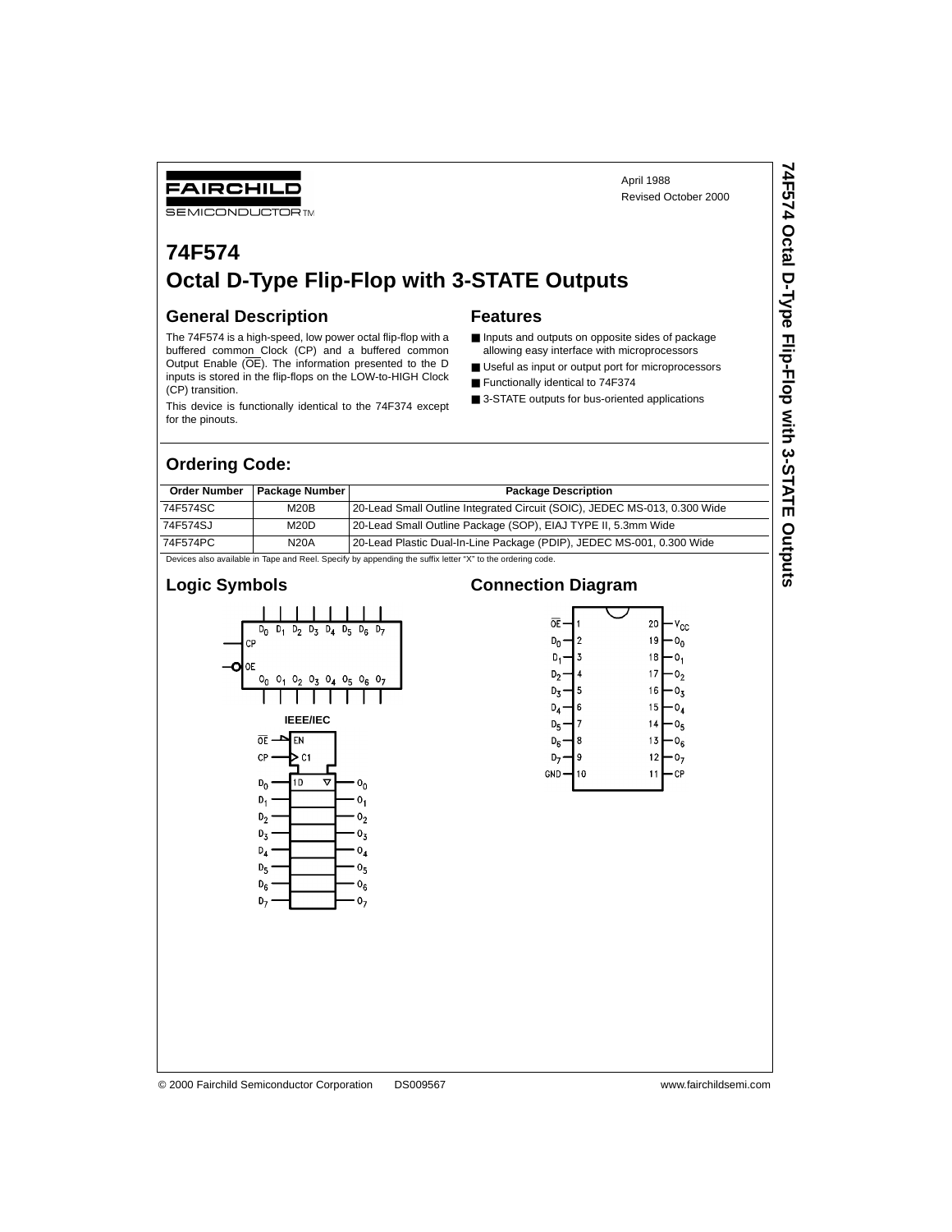## FAIRCHILD

**SEMICONDUCTOR TM** 

# **74F574 Octal D-Type Flip-Flop with 3-STATE Outputs**

### **General Description**

The 74F574 is a high-speed, low power octal flip-flop with a buffered common Clock (CP) and a buffered common Output Enable (OE). The information presented to the D inputs is stored in the flip-flops on the LOW-to-HIGH Clock (CP) transition.

This device is functionally identical to the 74F374 except for the pinouts.

#### **Features**

■ Inputs and outputs on opposite sides of package allowing easy interface with microprocessors

April 1988

Revised October 2000

- Useful as input or output port for microprocessors
- Functionally identical to 74F374
- 3-STATE outputs for bus-oriented applications

#### **Ordering Code:**

| <b>Order Number</b>                                                                              | <b>Package Number I</b>                                                                                   | <b>Package Description</b>                                                |  |  |  |  |  |
|--------------------------------------------------------------------------------------------------|-----------------------------------------------------------------------------------------------------------|---------------------------------------------------------------------------|--|--|--|--|--|
| 74F574SC                                                                                         | M20B                                                                                                      | 20-Lead Small Outline Integrated Circuit (SOIC), JEDEC MS-013, 0.300 Wide |  |  |  |  |  |
| 74F574SJ                                                                                         | M20D                                                                                                      | 20-Lead Small Outline Package (SOP), EIAJ TYPE II, 5.3mm Wide             |  |  |  |  |  |
| 74F574PC<br>20-Lead Plastic Dual-In-Line Package (PDIP), JEDEC MS-001, 0.300 Wide<br><b>N20A</b> |                                                                                                           |                                                                           |  |  |  |  |  |
|                                                                                                  | Devices also available in Tape and Reel. Specify by appending the suffix letter "X" to the ordering code. |                                                                           |  |  |  |  |  |

#### **Logic Symbols**



#### **Connection Diagram**

| ᅂ<br>20<br>۷cc<br>19<br>2<br>D <sub>n</sub><br>18<br>3<br>D,<br>о,<br>17<br>4<br>D,<br>Uŋ<br>16<br>5<br>D3<br>Uτ<br>6<br>15<br>D <sub>4</sub><br>04<br>7<br>14<br>D <sub>5</sub><br>Uς<br>8<br>13<br>D <sub>6</sub><br>U <sub>6</sub><br>12<br>9<br>10<br>GND<br>11<br>СP |  |  |  |
|---------------------------------------------------------------------------------------------------------------------------------------------------------------------------------------------------------------------------------------------------------------------------|--|--|--|
|                                                                                                                                                                                                                                                                           |  |  |  |
|                                                                                                                                                                                                                                                                           |  |  |  |
|                                                                                                                                                                                                                                                                           |  |  |  |
|                                                                                                                                                                                                                                                                           |  |  |  |
|                                                                                                                                                                                                                                                                           |  |  |  |
|                                                                                                                                                                                                                                                                           |  |  |  |
|                                                                                                                                                                                                                                                                           |  |  |  |
|                                                                                                                                                                                                                                                                           |  |  |  |
|                                                                                                                                                                                                                                                                           |  |  |  |
|                                                                                                                                                                                                                                                                           |  |  |  |
|                                                                                                                                                                                                                                                                           |  |  |  |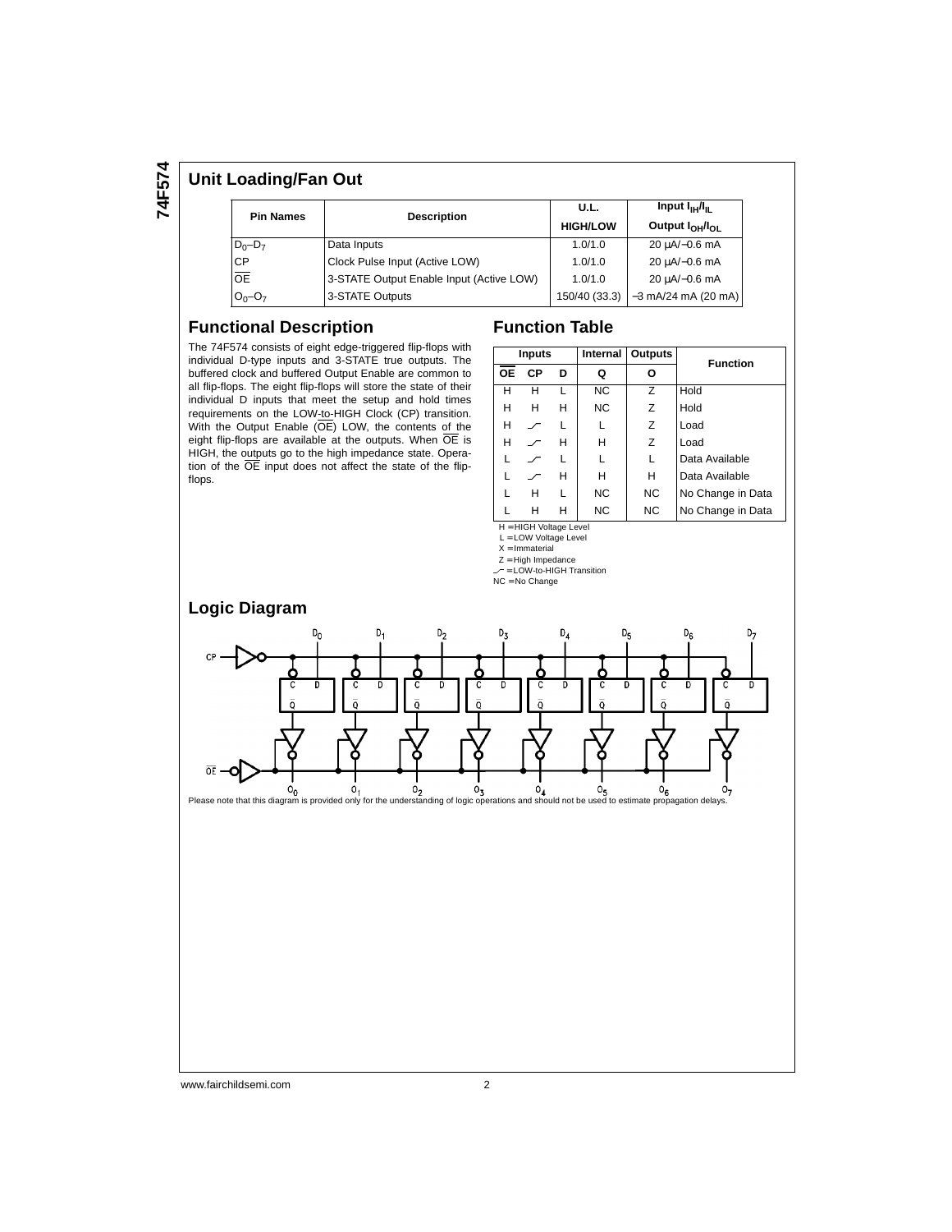# **74F574**

## **Unit Loading/Fan Out**

| <b>Pin Names</b> | <b>Description</b>                       | U.L.<br><b>HIGH/LOW</b> | Input I <sub>IH</sub> /I <sub>II</sub><br>Output $I_{OH}$ $I_{OH}$ |
|------------------|------------------------------------------|-------------------------|--------------------------------------------------------------------|
| $D_0 - D_7$      | Data Inputs                              | 1.0/1.0                 | 20 uA/-0.6 mA                                                      |
| <b>CP</b>        | Clock Pulse Input (Active LOW)           | 1.0/1.0                 | 20 µA/-0.6 mA                                                      |
| <b>OE</b>        | 3-STATE Output Enable Input (Active LOW) | 1.0/1.0                 | 20 µA/-0.6 mA                                                      |
| $O_0 - O_7$      | 3-STATE Outputs                          |                         | 150/40 (33.3) -3 mA/24 mA (20 mA)                                  |

#### **Functional Description**

The 74F574 consists of eight edge-triggered flip-flops with individual D-type inputs and 3-STATE true outputs. The buffered clock and buffered Output Enable are common to all flip-flops. The eight flip-flops will store the state of their individual D inputs that meet the setup and hold times requirements on the LOW-to-HIGH Clock (CP) transition. With the Output Enable (OE) LOW, the contents of the eight flip-flops are available at the outputs. When  $\overline{OE}$  is HIGH, the outputs go to the high impedance state. Operation of the OE input does not affect the state of the flipflops.

## **Function Table**

|           | Inputs                   |   |           | Internal   Outputs | <b>Function</b>   |
|-----------|--------------------------|---|-----------|--------------------|-------------------|
| <b>OE</b> | СP                       | D | Q         | Ο                  |                   |
| н         | н                        |   | <b>NC</b> | 7                  | Hold              |
| н         | н                        | н | <b>NC</b> | Z                  | Hold              |
| н         |                          |   |           | Z                  | Load              |
| н         |                          | н | н         | Z                  | Load              |
|           |                          |   |           | L                  | Data Available    |
|           |                          | н | н         | н                  | Data Available    |
|           | н                        | L | <b>NC</b> | <b>NC</b>          | No Change in Data |
|           | н                        | н | NC        | NC.                | No Change in Data |
|           | $H = HIGH$ Voltage Level |   |           |                    |                   |

L = LOW Voltage Level

 $X = Immaterial$ 

Z = High Impedance

 $\angle$  = LOW-to-HIGH Transition

NC = No Change

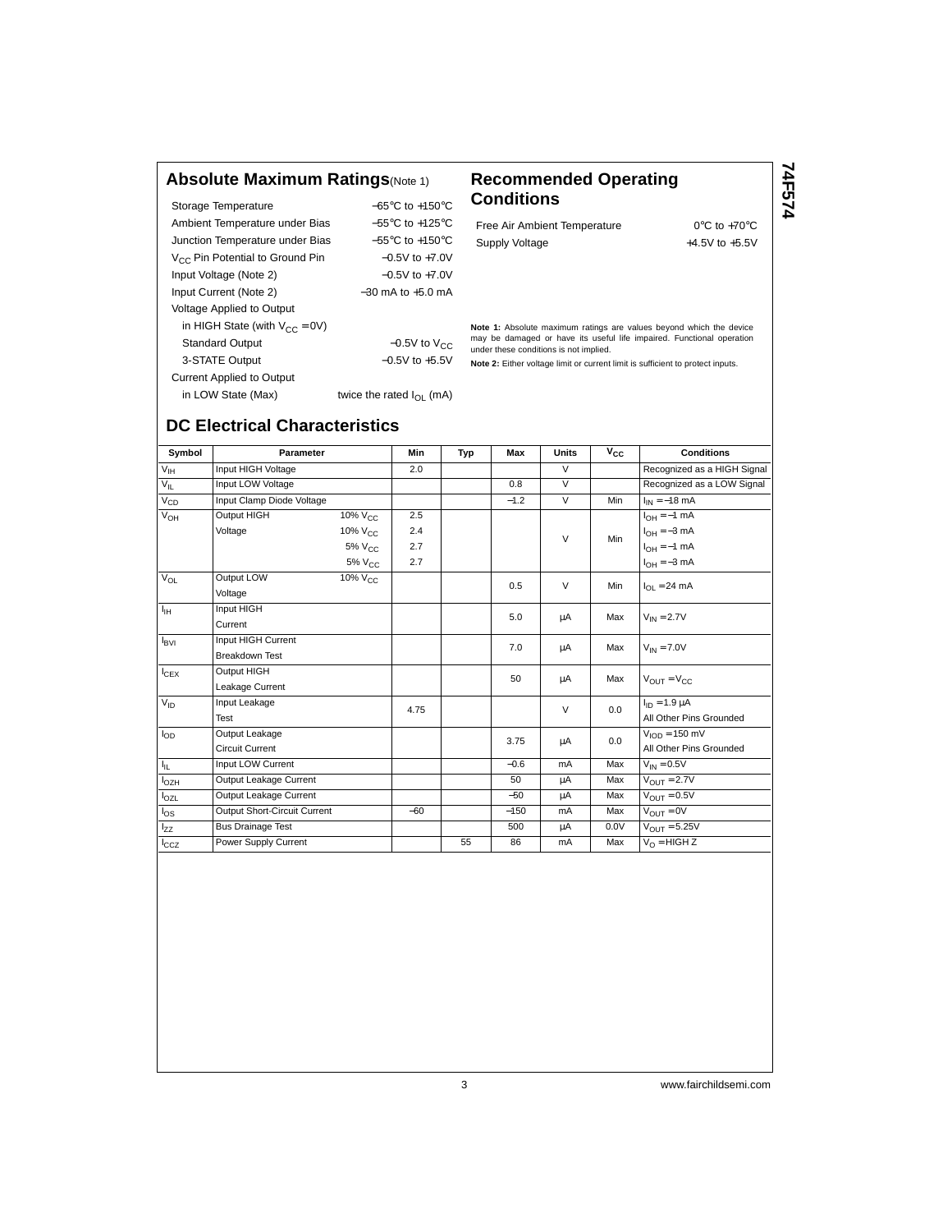#### **Absolute Maximum Ratings**(Note 1) **Recommended Operating**

Storage Temperature −65°C to +150°C Ambient Temperature under Bias −55°C to +125°C Junction Temperature under Bias −55°C to +150°C V<sub>CC</sub> Pin Potential to Ground Pin −0.5V to +7.0V Input Voltage (Note 2) −0.5V to +7.0V Input Current (Note 2) −30 mA to +5.0 mA Voltage Applied to Output in HIGH State (with  $V_{CC} = 0V$ ) Standard Output  $-0.5V$  to  $V_{CC}$ 3-STATE Output −0.5V to +5.5V Current Applied to Output

twice the rated  $I_{OL}$  (mA)

# **Conditions**

Free Air Ambient Temperature 0°C to +70°C Supply Voltage  $+4.5V$  to  $+5.5V$ 

**74F574**

**Note 1:** Absolute maximum ratings are values beyond which the device may be damaged or have its useful life impaired. Functional operation under these conditions is not implied.

**Note 2:** Either voltage limit or current limit is sufficient to protect inputs.

| in LOW State (Max) |  |  |
|--------------------|--|--|
|                    |  |  |

| Symbol           | Parameter                    |                     | <b>Min</b> | Typ | Max    | <b>Units</b>   | $V_{CC}$         | <b>Conditions</b>                |
|------------------|------------------------------|---------------------|------------|-----|--------|----------------|------------------|----------------------------------|
| $V_{\text{IH}}$  | Input HIGH Voltage           |                     | 2.0        |     |        | $\overline{V}$ |                  | Recognized as a HIGH Signal      |
| $V_{IL}$         | Input LOW Voltage            |                     |            |     | 0.8    | $\overline{V}$ |                  | Recognized as a LOW Signal       |
| $V_{CD}$         | Input Clamp Diode Voltage    |                     |            |     | $-1.2$ | $\vee$         | Min              | $I_{IN} = -18$ mA                |
| $V_{OH}$         | Output HIGH                  | $10\%$ $V_{C}$      | 2.5        |     |        |                |                  | $I_{OH} = -1$ mA                 |
|                  | Voltage                      | 10% V <sub>CC</sub> | 2.4        |     |        | $\vee$         | Min              | $I_{OH} = -3$ mA                 |
|                  |                              | $5\%$ $V_{CC}$      | 2.7        |     |        |                | $I_{OH} = -1$ mA |                                  |
|                  |                              | 5% V <sub>CC</sub>  | 2.7        |     |        |                |                  | $I_{OH} = -3$ mA                 |
| $V_{OL}$         | Output LOW                   | $10\%$ $V_{CC}$     |            |     |        | $\vee$         | Min              |                                  |
|                  | Voltage                      |                     |            |     | 0.5    |                |                  | $I_{\Omega I} = 24 \text{ mA}$   |
| $I_{\rm{H}}$     | Input HIGH                   |                     |            |     | 5.0    |                | Max              |                                  |
|                  | Current                      |                     |            |     |        | μA             |                  | $V_{IN} = 2.7V$                  |
| $I_{\text{BVI}}$ | Input HIGH Current           |                     |            |     | 7.0    |                | Max              |                                  |
|                  | <b>Breakdown Test</b>        |                     |            |     |        | μA             |                  | $V_{IN} = 7.0V$                  |
| $I_{CEX}$        | Output HIGH                  |                     |            |     | 50     |                | Max              |                                  |
|                  | Leakage Current              |                     |            |     |        | μA             |                  | $V_{\text{OUT}} = V_{\text{CC}}$ |
| $V_{ID}$         | Input Leakage                |                     | 4.75       |     |        | $\vee$         | 0.0              | $I_{ID} = 1.9 \mu A$             |
|                  | Test                         |                     |            |     |        |                |                  | All Other Pins Grounded          |
| $I_{OD}$         | Output Leakage               |                     |            |     | 3.75   |                | 0.0              | $VION = 150 mV$                  |
|                  | <b>Circuit Current</b>       |                     |            |     |        | μA             |                  | All Other Pins Grounded          |
| $I_{\rm IL}$     | Input LOW Current            |                     |            |     | $-0.6$ | mA             | Max              | $V_{IN} = 0.5V$                  |
| $I_{OZH}$        | Output Leakage Current       |                     |            |     | 50     | μA             | Max              | $V_{OIII} = 2.7V$                |
| $I_{OZL}$        | Output Leakage Current       |                     |            |     | $-50$  | μA             | Max              | $V_{OIII} = 0.5V$                |
| $I_{OS}$         | Output Short-Circuit Current |                     | $-60$      |     | $-150$ | mA             | Max              | $V_{OIIT} = 0V$                  |
| $I_{ZZ}$         | <b>Bus Drainage Test</b>     |                     |            |     | 500    | μA             | 0.0V             | $V_{OIII} = 5.25V$               |
| $I_{CCZ}$        | Power Supply Current         |                     |            | 55  | 86     | mA             | Max              | $V_O = HIGH Z$                   |

# **DC Electrical Characteristics**

3 www.fairchildsemi.com